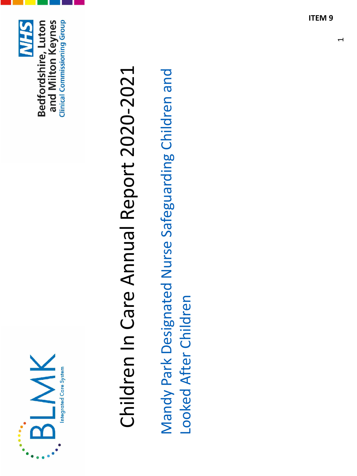



# Children In Care Annual Report 2020-2021 Children In Care Annual Report 2020-2021

Mandy Park Designated Nurse Safeguarding Children and Mandy Park Designated Nurse Safeguarding Children and Looked After Children Looked After Children  $\overline{\phantom{0}}$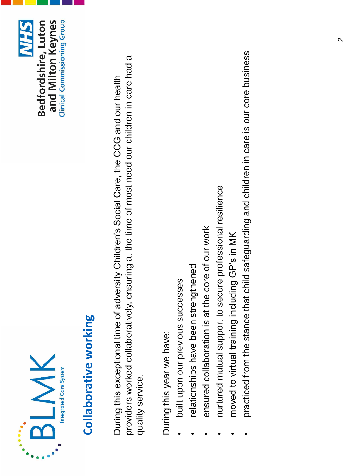



#### Collaborative working **Collaborative working**

providers worked collaboratively, ensuring at the time of most need our children in care had a providers worked collaboratively, ensuring at the time of most need our children in care had a During this exceptional time of adversity Children's Social Care, the CCG and our health During this exceptional time of adversity Children's Social Care, the CCG and our health quality service. quality service.

During this year we have: During this year we have:

- built upon our previous successes • built upon our previous successes
- relationships have been strengthened relationships have been strengthened
- ensured collaboration is at the core of our work • ensured collaboration is at the core of our work
- nurtured mutual support to secure professional resilience nurtured mutual support to secure professional resilience
- moved to virtual training including GP's in MK • moved to virtual training including GP's in MK
- practiced from the stance that child safeguarding and children in care is our core business • practiced from the stance that child safeguarding and children in care is our core business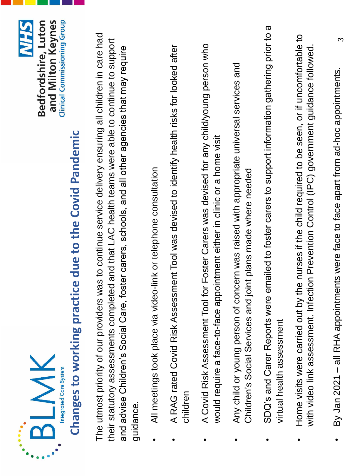



# Changes to working practice due to the Covid Pandemic **Changes to working practice due to the Covid Pandemic**

The utmost priority of our providers was to continue service delivery ensuring all children in care had The utmost priority of our providers was to continue service delivery ensuring all children in care had their statutory assessments completed and that LAC health teams were able to continue to support their statutory assessments completed and that LAC health teams were able to continue to support and advise Children's Social Care, foster carers, schools, and all other agencies that may require and advise Children's Social Care, foster carers, schools, and all other agencies that may require guidance.

- All meetings took place via video-link or telephone consultation • All meetings took place via video-link or telephone consultation
- A RAG rated Covid Risk Assessment Tool was devised to identify health risks for looked after A RAG rated Covid Risk Assessment Tool was devised to identify health risks for looked after children
- A Covid Risk Assessment Tool for Foster Carers was devised for any child/young person who A Covid Risk Assessment Tool for Foster Carers was devised for any child/young person who would require a face-to-face appointment either in clinic or a home visit would require a face-to-face appointment either in clinic or a home visit
- Any child or young person of concern was raised with appropriate universal services and Any child or young person of concern was raised with appropriate universal services and Children's Social Services and joint plans made where needed Children's Social Services and joint plans made where needed
- SDQ's and Carer Reports were emailed to foster carers to support information gathering prior to a SDQ's and Carer Reports were emailed to foster carers to support information gathering prior to a virtual health assessment virtual health assessment
- Home visits were carried out by the nurses if the child required to be seen, or if uncomfortable to Home visits were carried out by the nurses if the child required to be seen, or if uncomfortable to with video link assessment. Infection Prevention Control (IPC) government guidance followed. with video link assessment. Infection Prevention Control (IPC) government guidance followed.
- By Jan 2021 all RHA appointments were face to face apart from ad-hoc appointments. • By Jan 2021 – all RHA appointments were face to face apart from ad-hoc appointments.

3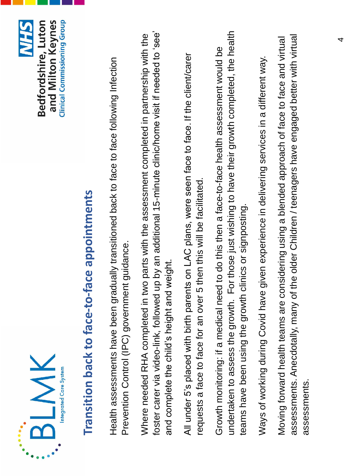



# Transition back to face-to-face appointments **Transition back to face-to-face appointments**

Health assessments have been gradually transitioned back to face to face following Infection Health assessments have been gradually transitioned back to face to face following Infection Prevention Control (IPC) government guidance. Prevention Control (IPC) government guidance.

foster carer via video-link, followed up by an additional 15-minute clinic/home visit if needed to 'see' foster carer via video-link, followed up by an additional 15-minute clinic/home visit if needed to 'see' Where needed RHA completed in two parts with the assessment completed in partnership with the Where needed RHA completed in two parts with the assessment completed in partnership with the and complete the child's height and weight. and complete the child's height and weight.

All under 5's placed with birth parents on LAC plans, were seen face to face. If the client/carer All under 5's placed with birth parents on LAC plans, were seen face to face. If the client/carer requests a face to face for an over 5 then this will be facilitated. requests a face to face for an over 5 then this will be facilitated.

undertaken to assess the growth. For those just wishing to have their growth completed, the health undertaken to assess the growth. For those just wishing to have their growth completed, the health Growth monitoring: if a medical need to do this then a face-to-face health assessment would be Growth monitoring: if a medical need to do this then a face-to-face health assessment would be teams have been using the growth clinics or signposting. teams have been using the growth clinics or signposting.

Ways of working during Covid have given experience in delivering services in a different way. Ways of working during Covid have given experience in delivering services in a different way.

assessments. Anecdotally, many of the older Children / teenagers have engaged better with virtual Moving forward health teams are considering using a blended approach of face to face and virtual assessments. Anecdotally, many of the older Children / teenagers have engaged better with virtual Moving forward health teams are considering using a blended approach of face to face and virtual assessments.assessments.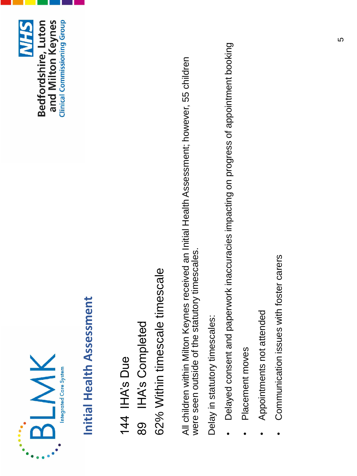



## **Initial Health Assessment Initial Health Assessment**

62% Within timescale timescale 62% Within timescale timescale **IHA's Completed** 89 IHA's Completed 144 IHA's Due 144 IHA's Due 89

All children within Milton Keynes received an Initial Health Assessment; however, 55 children All children within Milton Keynes received an Initial Health Assessment; however, 55 children<br>were seen outside of the statutory timescales. were seen outside of the statutory timescales.

Delay in statutory timescales: Delay in statutory timescales:

- Delayed consent and paperwork inaccuracies impacting on progress of appointment booking Delayed consent and paperwork inaccuracies impacting on progress of appointment booking
- Placement moves · Placement moves
- Appointments not attended • Appointments not attended
- Communication issues with foster carers Communication issues with foster carers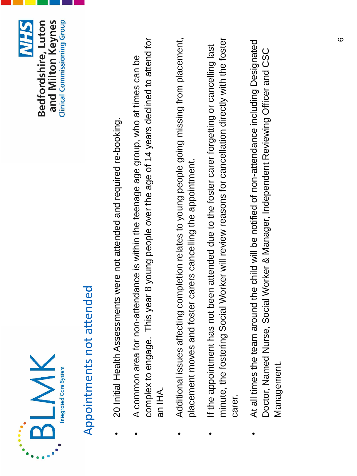



## Appointments not attended Appointments not attended

- 20 Initial Health Assessments were not attended and required re-booking. 20 Initial Health Assessments were not attended and required re-booking.
- complex to engage. This year 8 young people over the age of 14 years declined to attend for complex to engage. This year 8 young people over the age of 14 years declined to attend for • A common area for non-attendance is within the teenage age group, who at times can be A common area for non-attendance is within the teenage age group, who at times can be an IHA.
- Additional issues affecting completion relates to young people going missing from placement, Additional issues affecting completion relates to young people going missing from placement, placement moves and foster carers cancelling the appointment. placement moves and foster carers cancelling the appointment.
- minute, the fostering Social Worker will review reasons for cancellation directly with the foster minute, the fostering Social Worker will review reasons for cancellation directly with the foster • If the appointment has not been attended due to the foster carer forgetting or cancelling last If the appointment has not been attended due to the foster carer forgetting or cancelling last carer.
- At all times the team around the child will be notified of non-attendance including Designated At all times the team around the child will be notified of non-attendance including Designated Doctor, Named Nurse, Social Worker & Manager, Independent Reviewing Officer and CSC Doctor, Named Nurse, Social Worker & Manager, Independent Reviewing Officer and CSC Management. Management.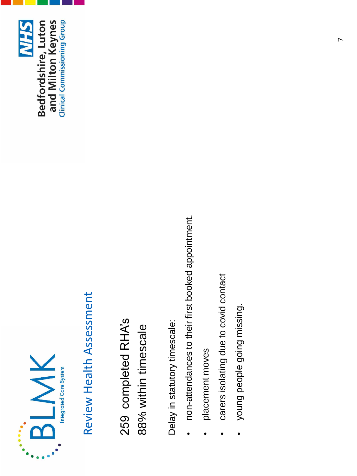



## Review Health Assessment Review Health Assessment

259 completed RHA's 259 completed RHA's 88% within timescale 88% within timescale

Delay in statutory timescale: Delay in statutory timescale:

- non-attendances to their first booked appointment. non-attendances to their first booked appointment.
- placement moves • placement moves
- carers isolating due to covid contact • carers isolating due to covid contact
- young people going missing. young people going missing.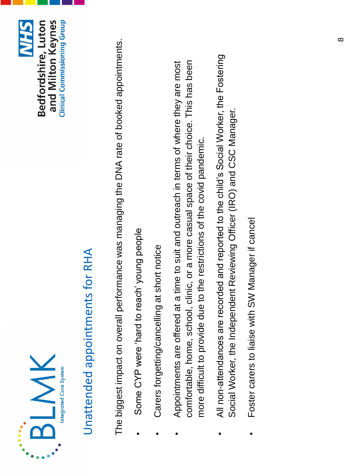



## Unattended appointments for RHA Unattended appointments for RHA

The biggest impact on overall performance was managing the DNA rate of booked appointments. The biggest impact on overall performance was managing the DNA rate of booked appointments.

- Some CYP were 'hard to reach' young people • Some CYP were 'hard to reach' young people
- Carers forgetting/cancelling at short notice Carers forgetting/cancelling at short notice
- comfortable, home, school, clinic, or a more casual space of their choice. This has been • Appointments are offered at a time to suit and outreach in terms of where they are most comfortable, home, school, clinic, or a more casual space of their choice. This has been Appointments are offered at a time to suit and outreach in terms of where they are most more difficult to provide due to the restrictions of the covid pandemic. more difficult to provide due to the restrictions of the covid pandemic.
- All non-attendances are recorded and reported to the child's Social Worker, the Fostering All non-attendances are recorded and reported to the child's Social Worker, the Fostering Social Worker, the Independent Reviewing Officer (IRO) and CSC Manager. Social Worker, the Independent Reviewing Officer (IRO) and CSC Manager.
- Foster carers to liaise with SW Manager if cancel • Foster carers to liaise with SW Manager if cancel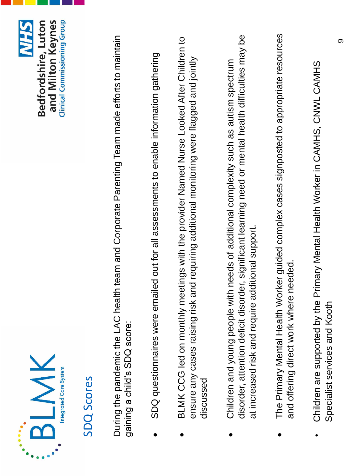



### SDQ Scores

During the pandemic the LAC health team and Corporate Parenting Team made efforts to maintain During the pandemic the LAC health team and Corporate Parenting Team made efforts to maintain gaining a child's SDQ score: gaining a child's SDQ score:

- SDQ questionnaires were emailed out for all assessments to enable information gathering • SDQ questionnaires were emailed out for all assessments to enable information gathering
- BLMK CCG led on monthly meetings with the provider Named Nurse Looked After Children to BLMK CCG led on monthly meetings with the provider Named Nurse Looked After Children to ensure any cases raising risk and requiring additional monitoring were flagged and jointly ensure any cases raising risk and requiring additional monitoring were flagged and jointly discussed
- disorder, attention deficit disorder, significant learning need or mental health difficulties may be disorder, attention deficit disorder, significant learning need or mental health difficulties may be • Children and young people with needs of additional complexity such as autism spectrum Children and young people with needs of additional complexity such as autism spectrum at increased risk and require additional support. at increased risk and require additional support.
- The Primary Mental Health Worker guided complex cases signposted to appropriate resources The Primary Mental Health Worker guided complex cases signposted to appropriate resources and offering direct work where needed. and offering direct work where needed.
- Children are supported by the Primary Mental Health Worker in CAMHS, CNWL CAMHS Children are supported by the Primary Mental Health Worker in CAMHS, CNWL CAMHS Specialist services and Kooth Specialist services and Kooth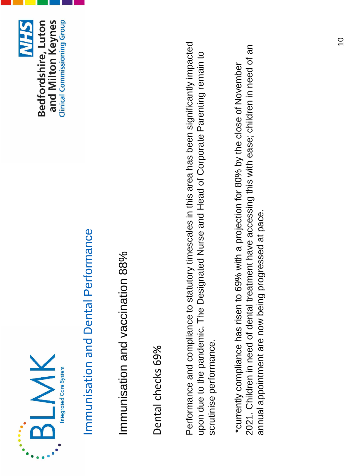



## Immunisation and Dental Performance Immunisation and Dental Performance

Immunisation and vaccination 88% Immunisation and vaccination 88%

Dental checks 69% Dental checks 69%

Performance and compliance to statutory timescales in this area has been significantly impacted Performance and compliance to statutory timescales in this area has been significantly impacted upon due to the pandemic. The Designated Nurse and Head of Corporate Parenting remain to upon due to the pandemic. The Designated Nurse and Head of Corporate Parenting remain to scrutinise performance. scrutinise performance.

2021. Children in need of dental treatment have accessing this with ease; children in need of an 2021. Children in need of dental treatment have accessing this with ease; children in need of an \*currently compliance has risen to 69% with a projection for 80% by the close of November \*currently compliance has risen to 69% with a projection for 80% by the close of November annual appointment are now being progressed at pace. annual appointment are now being progressed at pace.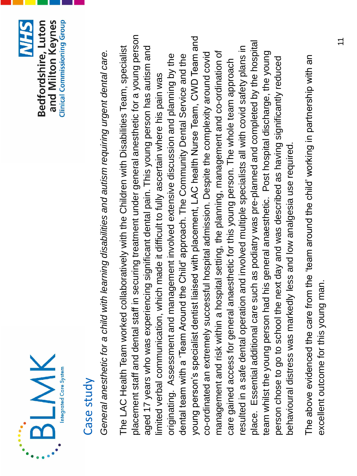



#### Case study

General anesthetic for a child with learning disabilities and autism requiring urgent dental care. *General anesthetic for a child with learning disabilities and autism requiring urgent dental care.*

placement staff and dental staff in securing treatment under general anesthetic for a young person placement staff and dental staff in securing treatment under general anesthetic for a young person young person's specialist dentist liaised with placement, LAC health Nurse Team, CWD Team and young person's specialist dentist liaised with placement, LAC health Nurse Team, CWD Team and place. Essential additional care such as podiatry was pre-planned and completed by the hospital place. Essential additional care such as podiatry was pre-planned and completed by the hospital The LAC Health Team worked collaboratively with the Children with Disabilities Team, specialist aged 17 years who was experiencing significant dental pain. This young person has autism and resulted in a safe dental operation and involved multiple specialists all with covid safety plans in aged 17 years who was experiencing significant dental pain. This young person has autism and resulted in a safe dental operation and involved multiple specialists all with covid safety plans in The LAC Health Team worked collaboratively with the Children with Disabilities Team, specialist management and risk within a hospital setting, the planning, management and co-ordination of team whilst the young person had his general anaesthetic. Post hospital discharge, the young co-ordinated an extremely successful hospital admission. Despite the complexity around covid management and risk within a hospital setting, the planning, management and co-ordination of team whilst the young person had his general anaesthetic. Post hospital discharge, the young co-ordinated an extremely successful hospital admission. Despite the complexity around covid originating. Assessment and management involved extensive discussion and planning by the dental team with a 'Team Around the Child' approach. The Community Dental Service and the originating. Assessment and management involved extensive discussion and planning by the dental team with a 'Team Around the Child' approach. The Community Dental Service and the person chose to go to school the next day and was described as having significantly reduced person chose to go to school the next day and was described as having significantly reduced care gained access for general anaesthetic for this young person. The whole team approach care gained access for general anaesthetic for this young person. The whole team approach limited verbal communication, which made it difficult to fully ascertain where his pain was limited verbal communication, which made it difficult to fully ascertain where his pain was behavioural distress was markedly less and low analgesia use required. behavioural distress was markedly less and low analgesia use required.

The above evidenced the care from the 'team around the child' working in partnership with an The above evidenced the care from the 'team around the child' working in partnership with an excellent outcome for this young man. excellent outcome for this young man.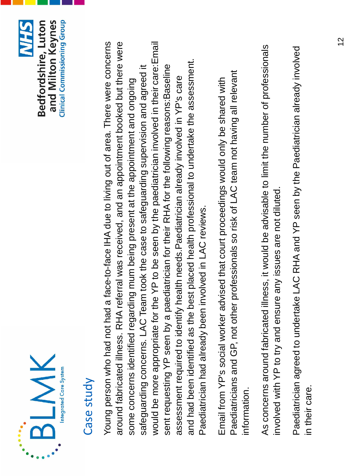



### Case study

Young person who had not had a face-to-face IHA due to living out of area. There were concerns around fabricated illness. RHA referral was received, and an appointment booked but there were Young person who had not had a face-to-face IHA due to living out of area. There were concerns around fabricated illness. RHA referral was received, and an appointment booked but there were would be more appropriate for the YP to be seen by the paediatrician involved in their care:Email would be more appropriate for the YP to be seen by the paediatrician involved in their care:Email and had been identified as the best placed health professional to undertake the assessment. and had been identified as the best placed health professional to undertake the assessment. safeguarding concerns. LAC Team took the case to safeguarding supervision and agreed it safeguarding concerns. LAC Team took the case to safeguarding supervision and agreed it sent requesting YP seen by a paediatrician for their RHA for the following reasons: Baseline sent requesting YP seen by a paediatrician for their RHA for the following reasons:Baseline assessment required to identify health needs.Paediatrician already involved in YP's care assessment required to identify health needs. Paediatrician already involved in YP's care some concerns identified regarding mum being present at the appointment and ongoing some concerns identified regarding mum being present at the appointment and ongoing Paediatrician had already been involved in LAC reviews. Paediatrician had already been involved in LAC reviews.

Paediatricians and GP, not other professionals so risk of LAC team not having all relevant Paediatricians and GP, not other professionals so risk of LAC team not having all relevant Email from YP's social worker advised that court proceedings would only be shared with Email from YP's social worker advised that court proceedings would only be shared with information. information.

As concerns around fabricated illness, it would be advisable to limit the number of professionals As concerns around fabricated illness, it would be advisable to limit the number of professionals involved with YP to try and ensure any issues are not diluted. involved with YP to try and ensure any issues are not diluted.

Paediatrician agreed to undertake LAC RHA and YP seen by the Paediatrician already involved Paediatrician agreed to undertake LAC RHA and YP seen by the Paediatrician already involved in their care.in their care.